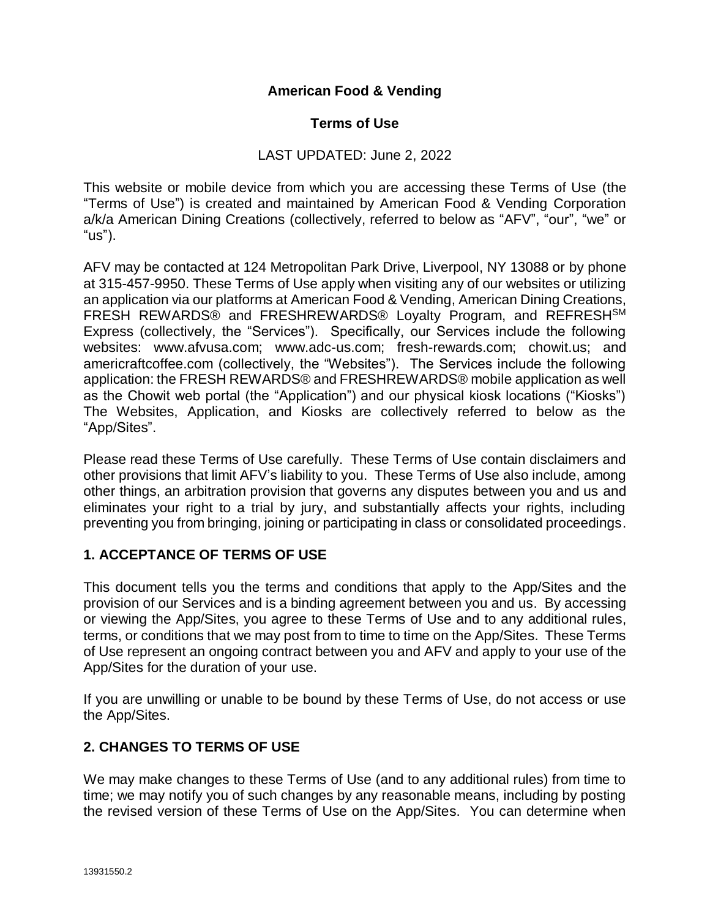## **American Food & Vending**

### **Terms of Use**

## LAST UPDATED: June 2, 2022

This website or mobile device from which you are accessing these Terms of Use (the "Terms of Use") is created and maintained by American Food & Vending Corporation a/k/a American Dining Creations (collectively, referred to below as "AFV", "our", "we" or "us").

AFV may be contacted at 124 Metropolitan Park Drive, Liverpool, NY 13088 or by phone at 315-457-9950. These Terms of Use apply when visiting any of our websites or utilizing an application via our platforms at American Food & Vending, American Dining Creations, FRESH REWARDS® and FRESHREWARDS® Loyalty Program, and REFRESHSM Express (collectively, the "Services"). Specifically, our Services include the following websites: www.afvusa.com; www.adc-us.com; fresh-rewards.com; chowit.us; and americraftcoffee.com (collectively, the "Websites"). The Services include the following application: the FRESH REWARDS® and FRESHREWARDS® mobile application as well as the Chowit web portal (the "Application") and our physical kiosk locations ("Kiosks") The Websites, Application, and Kiosks are collectively referred to below as the "App/Sites".

Please read these Terms of Use carefully. These Terms of Use contain disclaimers and other provisions that limit AFV's liability to you. These Terms of Use also include, among other things, an arbitration provision that governs any disputes between you and us and eliminates your right to a trial by jury, and substantially affects your rights, including preventing you from bringing, joining or participating in class or consolidated proceedings.

### **1. ACCEPTANCE OF TERMS OF USE**

This document tells you the terms and conditions that apply to the App/Sites and the provision of our Services and is a binding agreement between you and us. By accessing or viewing the App/Sites, you agree to these Terms of Use and to any additional rules, terms, or conditions that we may post from to time to time on the App/Sites. These Terms of Use represent an ongoing contract between you and AFV and apply to your use of the App/Sites for the duration of your use.

If you are unwilling or unable to be bound by these Terms of Use, do not access or use the App/Sites.

### **2. CHANGES TO TERMS OF USE**

We may make changes to these Terms of Use (and to any additional rules) from time to time; we may notify you of such changes by any reasonable means, including by posting the revised version of these Terms of Use on the App/Sites. You can determine when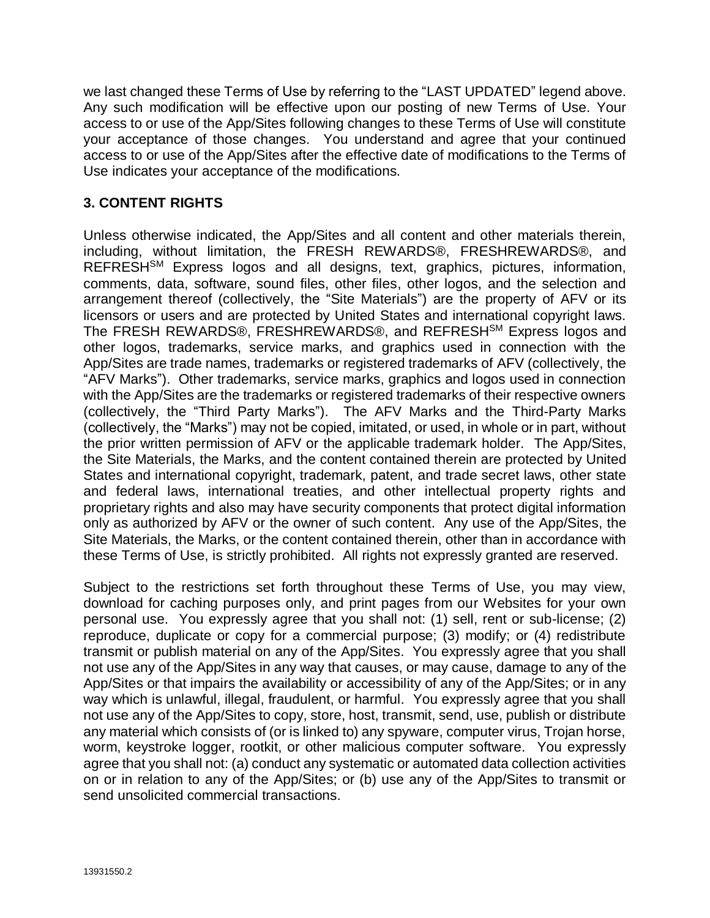we last changed these Terms of Use by referring to the "LAST UPDATED" legend above. Any such modification will be effective upon our posting of new Terms of Use. Your access to or use of the App/Sites following changes to these Terms of Use will constitute your acceptance of those changes. You understand and agree that your continued access to or use of the App/Sites after the effective date of modifications to the Terms of Use indicates your acceptance of the modifications.

## **3. CONTENT RIGHTS**

Unless otherwise indicated, the App/Sites and all content and other materials therein, including, without limitation, the FRESH REWARDS®, FRESHREWARDS®, and REFRESH<sup>SM</sup> Express logos and all designs, text, graphics, pictures, information, comments, data, software, sound files, other files, other logos, and the selection and arrangement thereof (collectively, the "Site Materials") are the property of AFV or its licensors or users and are protected by United States and international copyright laws. The FRESH REWARDS®, FRESHREWARDS®, and REFRESH<sup>SM</sup> Express logos and other logos, trademarks, service marks, and graphics used in connection with the App/Sites are trade names, trademarks or registered trademarks of AFV (collectively, the "AFV Marks"). Other trademarks, service marks, graphics and logos used in connection with the App/Sites are the trademarks or registered trademarks of their respective owners (collectively, the "Third Party Marks"). The AFV Marks and the Third-Party Marks (collectively, the "Marks") may not be copied, imitated, or used, in whole or in part, without the prior written permission of AFV or the applicable trademark holder. The App/Sites, the Site Materials, the Marks, and the content contained therein are protected by United States and international copyright, trademark, patent, and trade secret laws, other state and federal laws, international treaties, and other intellectual property rights and proprietary rights and also may have security components that protect digital information only as authorized by AFV or the owner of such content. Any use of the App/Sites, the Site Materials, the Marks, or the content contained therein, other than in accordance with these Terms of Use, is strictly prohibited. All rights not expressly granted are reserved.

Subject to the restrictions set forth throughout these Terms of Use, you may view, download for caching purposes only, and print pages from our Websites for your own personal use. You expressly agree that you shall not: (1) sell, rent or sub-license; (2) reproduce, duplicate or copy for a commercial purpose; (3) modify; or (4) redistribute transmit or publish material on any of the App/Sites. You expressly agree that you shall not use any of the App/Sites in any way that causes, or may cause, damage to any of the App/Sites or that impairs the availability or accessibility of any of the App/Sites; or in any way which is unlawful, illegal, fraudulent, or harmful. You expressly agree that you shall not use any of the App/Sites to copy, store, host, transmit, send, use, publish or distribute any material which consists of (or is linked to) any spyware, computer virus, Trojan horse, worm, keystroke logger, rootkit, or other malicious computer software. You expressly agree that you shall not: (a) conduct any systematic or automated data collection activities on or in relation to any of the App/Sites; or (b) use any of the App/Sites to transmit or send unsolicited commercial transactions.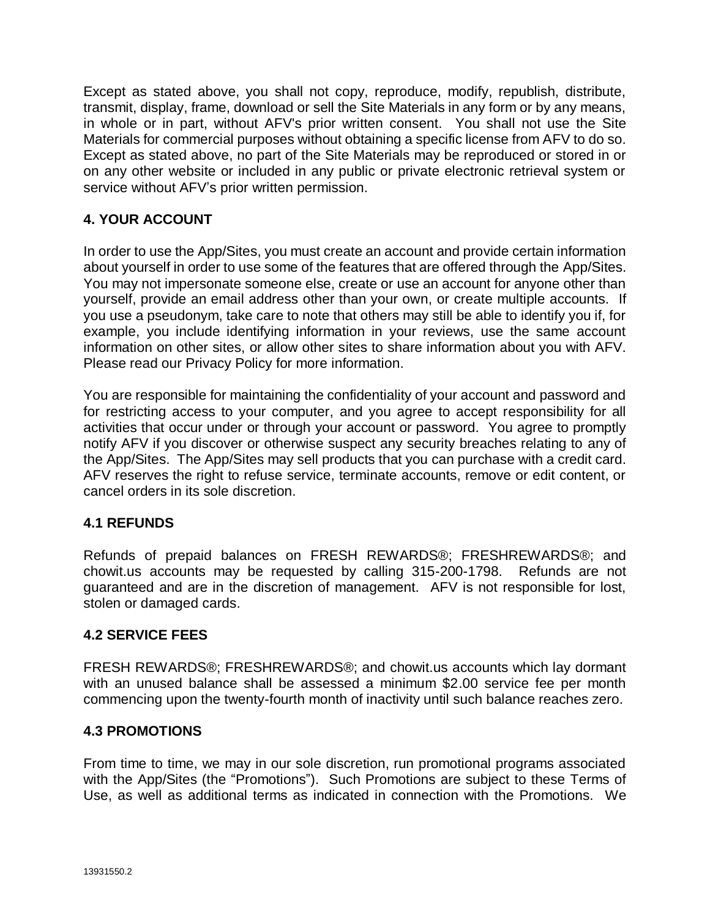Except as stated above, you shall not copy, reproduce, modify, republish, distribute, transmit, display, frame, download or sell the Site Materials in any form or by any means, in whole or in part, without AFV's prior written consent. You shall not use the Site Materials for commercial purposes without obtaining a specific license from AFV to do so. Except as stated above, no part of the Site Materials may be reproduced or stored in or on any other website or included in any public or private electronic retrieval system or service without AFV's prior written permission.

# **4. YOUR ACCOUNT**

In order to use the App/Sites, you must create an account and provide certain information about yourself in order to use some of the features that are offered through the App/Sites. You may not impersonate someone else, create or use an account for anyone other than yourself, provide an email address other than your own, or create multiple accounts. If you use a pseudonym, take care to note that others may still be able to identify you if, for example, you include identifying information in your reviews, use the same account information on other sites, or allow other sites to share information about you with AFV. Please read our Privacy Policy for more information.

You are responsible for maintaining the confidentiality of your account and password and for restricting access to your computer, and you agree to accept responsibility for all activities that occur under or through your account or password. You agree to promptly notify AFV if you discover or otherwise suspect any security breaches relating to any of the App/Sites. The App/Sites may sell products that you can purchase with a credit card. AFV reserves the right to refuse service, terminate accounts, remove or edit content, or cancel orders in its sole discretion.

### **4.1 REFUNDS**

Refunds of prepaid balances on FRESH REWARDS®; FRESHREWARDS®; and chowit.us accounts may be requested by calling 315-200-1798. Refunds are not guaranteed and are in the discretion of management. AFV is not responsible for lost, stolen or damaged cards.

### **4.2 SERVICE FEES**

FRESH REWARDS®; FRESHREWARDS®; and chowit.us accounts which lay dormant with an unused balance shall be assessed a minimum \$2.00 service fee per month commencing upon the twenty-fourth month of inactivity until such balance reaches zero.

### **4.3 PROMOTIONS**

From time to time, we may in our sole discretion, run promotional programs associated with the App/Sites (the "Promotions"). Such Promotions are subject to these Terms of Use, as well as additional terms as indicated in connection with the Promotions. We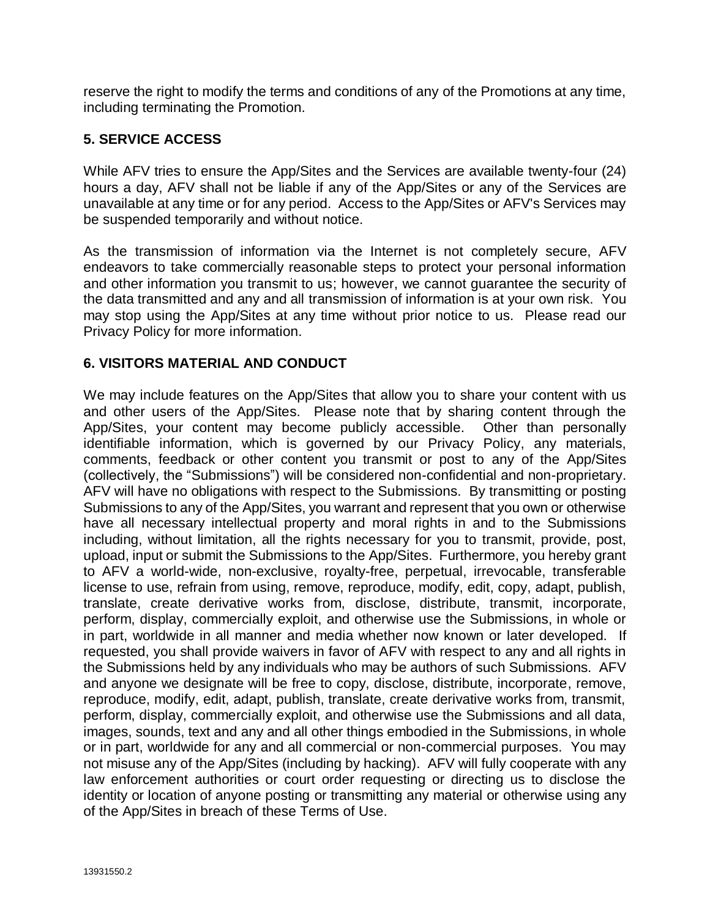reserve the right to modify the terms and conditions of any of the Promotions at any time, including terminating the Promotion.

## **5. SERVICE ACCESS**

While AFV tries to ensure the App/Sites and the Services are available twenty-four (24) hours a day, AFV shall not be liable if any of the App/Sites or any of the Services are unavailable at any time or for any period. Access to the App/Sites or AFV's Services may be suspended temporarily and without notice.

As the transmission of information via the Internet is not completely secure, AFV endeavors to take commercially reasonable steps to protect your personal information and other information you transmit to us; however, we cannot guarantee the security of the data transmitted and any and all transmission of information is at your own risk. You may stop using the App/Sites at any time without prior notice to us. Please read our Privacy Policy for more information.

### **6. VISITORS MATERIAL AND CONDUCT**

We may include features on the App/Sites that allow you to share your content with us and other users of the App/Sites. Please note that by sharing content through the App/Sites, your content may become publicly accessible. Other than personally identifiable information, which is governed by our Privacy Policy, any materials, comments, feedback or other content you transmit or post to any of the App/Sites (collectively, the "Submissions") will be considered non-confidential and non-proprietary. AFV will have no obligations with respect to the Submissions. By transmitting or posting Submissions to any of the App/Sites, you warrant and represent that you own or otherwise have all necessary intellectual property and moral rights in and to the Submissions including, without limitation, all the rights necessary for you to transmit, provide, post, upload, input or submit the Submissions to the App/Sites. Furthermore, you hereby grant to AFV a world-wide, non-exclusive, royalty-free, perpetual, irrevocable, transferable license to use, refrain from using, remove, reproduce, modify, edit, copy, adapt, publish, translate, create derivative works from, disclose, distribute, transmit, incorporate, perform, display, commercially exploit, and otherwise use the Submissions, in whole or in part, worldwide in all manner and media whether now known or later developed. If requested, you shall provide waivers in favor of AFV with respect to any and all rights in the Submissions held by any individuals who may be authors of such Submissions. AFV and anyone we designate will be free to copy, disclose, distribute, incorporate, remove, reproduce, modify, edit, adapt, publish, translate, create derivative works from, transmit, perform, display, commercially exploit, and otherwise use the Submissions and all data, images, sounds, text and any and all other things embodied in the Submissions, in whole or in part, worldwide for any and all commercial or non-commercial purposes. You may not misuse any of the App/Sites (including by hacking). AFV will fully cooperate with any law enforcement authorities or court order requesting or directing us to disclose the identity or location of anyone posting or transmitting any material or otherwise using any of the App/Sites in breach of these Terms of Use.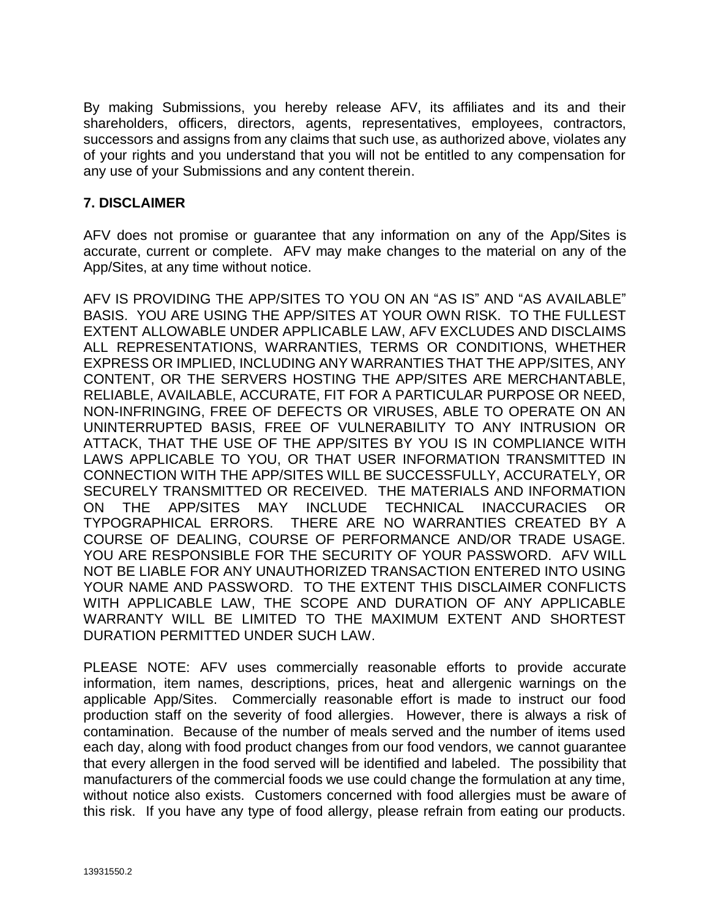By making Submissions, you hereby release AFV, its affiliates and its and their shareholders, officers, directors, agents, representatives, employees, contractors, successors and assigns from any claims that such use, as authorized above, violates any of your rights and you understand that you will not be entitled to any compensation for any use of your Submissions and any content therein.

### **7. DISCLAIMER**

AFV does not promise or guarantee that any information on any of the App/Sites is accurate, current or complete. AFV may make changes to the material on any of the App/Sites, at any time without notice.

AFV IS PROVIDING THE APP/SITES TO YOU ON AN "AS IS" AND "AS AVAILABLE" BASIS. YOU ARE USING THE APP/SITES AT YOUR OWN RISK. TO THE FULLEST EXTENT ALLOWABLE UNDER APPLICABLE LAW, AFV EXCLUDES AND DISCLAIMS ALL REPRESENTATIONS, WARRANTIES, TERMS OR CONDITIONS, WHETHER EXPRESS OR IMPLIED, INCLUDING ANY WARRANTIES THAT THE APP/SITES, ANY CONTENT, OR THE SERVERS HOSTING THE APP/SITES ARE MERCHANTABLE, RELIABLE, AVAILABLE, ACCURATE, FIT FOR A PARTICULAR PURPOSE OR NEED, NON-INFRINGING, FREE OF DEFECTS OR VIRUSES, ABLE TO OPERATE ON AN UNINTERRUPTED BASIS, FREE OF VULNERABILITY TO ANY INTRUSION OR ATTACK, THAT THE USE OF THE APP/SITES BY YOU IS IN COMPLIANCE WITH LAWS APPLICABLE TO YOU, OR THAT USER INFORMATION TRANSMITTED IN CONNECTION WITH THE APP/SITES WILL BE SUCCESSFULLY, ACCURATELY, OR SECURELY TRANSMITTED OR RECEIVED. THE MATERIALS AND INFORMATION ON THE APP/SITES MAY INCLUDE TECHNICAL INACCURACIES OR TYPOGRAPHICAL ERRORS. THERE ARE NO WARRANTIES CREATED BY A COURSE OF DEALING, COURSE OF PERFORMANCE AND/OR TRADE USAGE. YOU ARE RESPONSIBLE FOR THE SECURITY OF YOUR PASSWORD. AFV WILL NOT BE LIABLE FOR ANY UNAUTHORIZED TRANSACTION ENTERED INTO USING YOUR NAME AND PASSWORD. TO THE EXTENT THIS DISCLAIMER CONFLICTS WITH APPLICABLE LAW, THE SCOPE AND DURATION OF ANY APPLICABLE WARRANTY WILL BE LIMITED TO THE MAXIMUM EXTENT AND SHORTEST DURATION PERMITTED UNDER SUCH LAW.

PLEASE NOTE: AFV uses commercially reasonable efforts to provide accurate information, item names, descriptions, prices, heat and allergenic warnings on the applicable App/Sites. Commercially reasonable effort is made to instruct our food production staff on the severity of food allergies. However, there is always a risk of contamination. Because of the number of meals served and the number of items used each day, along with food product changes from our food vendors, we cannot guarantee that every allergen in the food served will be identified and labeled. The possibility that manufacturers of the commercial foods we use could change the formulation at any time, without notice also exists. Customers concerned with food allergies must be aware of this risk. If you have any type of food allergy, please refrain from eating our products.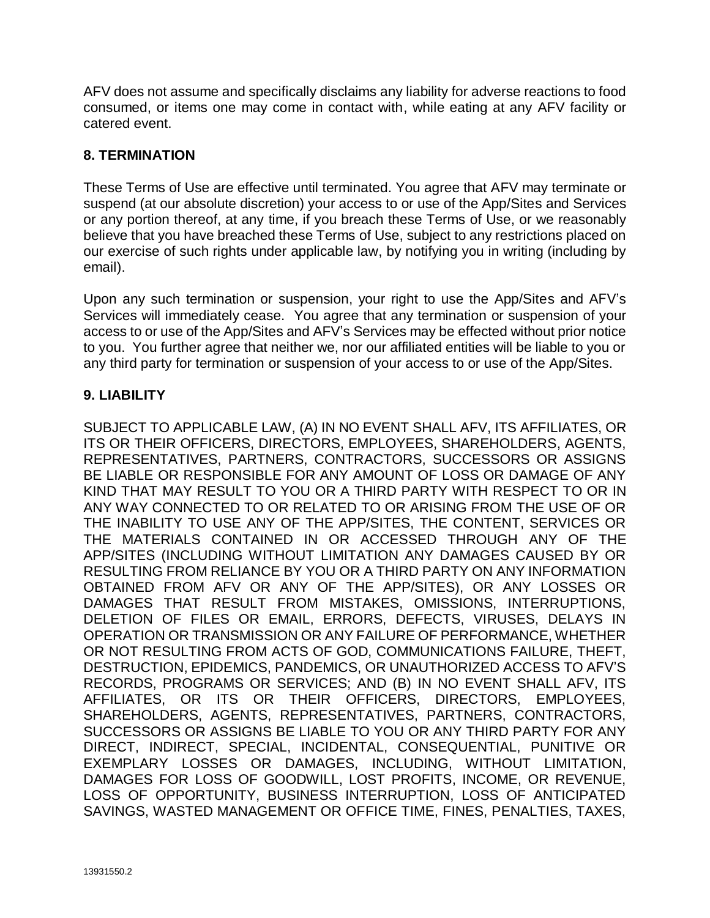AFV does not assume and specifically disclaims any liability for adverse reactions to food consumed, or items one may come in contact with, while eating at any AFV facility or catered event.

## **8. TERMINATION**

These Terms of Use are effective until terminated. You agree that AFV may terminate or suspend (at our absolute discretion) your access to or use of the App/Sites and Services or any portion thereof, at any time, if you breach these Terms of Use, or we reasonably believe that you have breached these Terms of Use, subject to any restrictions placed on our exercise of such rights under applicable law, by notifying you in writing (including by email).

Upon any such termination or suspension, your right to use the App/Sites and AFV's Services will immediately cease. You agree that any termination or suspension of your access to or use of the App/Sites and AFV's Services may be effected without prior notice to you. You further agree that neither we, nor our affiliated entities will be liable to you or any third party for termination or suspension of your access to or use of the App/Sites.

## **9. LIABILITY**

SUBJECT TO APPLICABLE LAW, (A) IN NO EVENT SHALL AFV, ITS AFFILIATES, OR ITS OR THEIR OFFICERS, DIRECTORS, EMPLOYEES, SHAREHOLDERS, AGENTS, REPRESENTATIVES, PARTNERS, CONTRACTORS, SUCCESSORS OR ASSIGNS BE LIABLE OR RESPONSIBLE FOR ANY AMOUNT OF LOSS OR DAMAGE OF ANY KIND THAT MAY RESULT TO YOU OR A THIRD PARTY WITH RESPECT TO OR IN ANY WAY CONNECTED TO OR RELATED TO OR ARISING FROM THE USE OF OR THE INABILITY TO USE ANY OF THE APP/SITES, THE CONTENT, SERVICES OR THE MATERIALS CONTAINED IN OR ACCESSED THROUGH ANY OF THE APP/SITES (INCLUDING WITHOUT LIMITATION ANY DAMAGES CAUSED BY OR RESULTING FROM RELIANCE BY YOU OR A THIRD PARTY ON ANY INFORMATION OBTAINED FROM AFV OR ANY OF THE APP/SITES), OR ANY LOSSES OR DAMAGES THAT RESULT FROM MISTAKES, OMISSIONS, INTERRUPTIONS, DELETION OF FILES OR EMAIL, ERRORS, DEFECTS, VIRUSES, DELAYS IN OPERATION OR TRANSMISSION OR ANY FAILURE OF PERFORMANCE, WHETHER OR NOT RESULTING FROM ACTS OF GOD, COMMUNICATIONS FAILURE, THEFT, DESTRUCTION, EPIDEMICS, PANDEMICS, OR UNAUTHORIZED ACCESS TO AFV'S RECORDS, PROGRAMS OR SERVICES; AND (B) IN NO EVENT SHALL AFV, ITS AFFILIATES, OR ITS OR THEIR OFFICERS, DIRECTORS, EMPLOYEES, SHAREHOLDERS, AGENTS, REPRESENTATIVES, PARTNERS, CONTRACTORS, SUCCESSORS OR ASSIGNS BE LIABLE TO YOU OR ANY THIRD PARTY FOR ANY DIRECT, INDIRECT, SPECIAL, INCIDENTAL, CONSEQUENTIAL, PUNITIVE OR EXEMPLARY LOSSES OR DAMAGES, INCLUDING, WITHOUT LIMITATION, DAMAGES FOR LOSS OF GOODWILL, LOST PROFITS, INCOME, OR REVENUE, LOSS OF OPPORTUNITY, BUSINESS INTERRUPTION, LOSS OF ANTICIPATED SAVINGS, WASTED MANAGEMENT OR OFFICE TIME, FINES, PENALTIES, TAXES,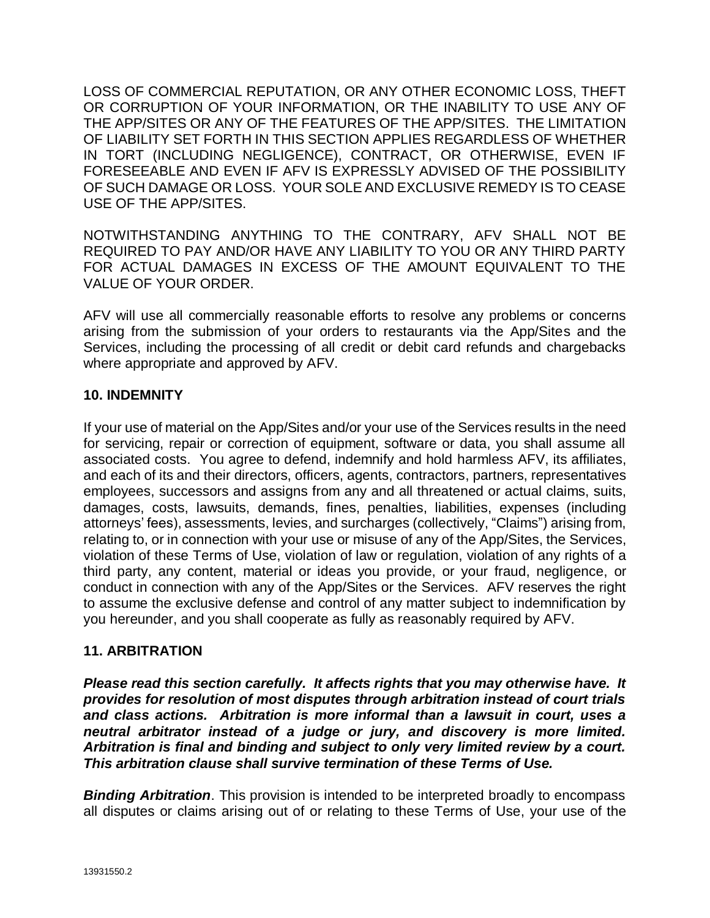LOSS OF COMMERCIAL REPUTATION, OR ANY OTHER ECONOMIC LOSS, THEFT OR CORRUPTION OF YOUR INFORMATION, OR THE INABILITY TO USE ANY OF THE APP/SITES OR ANY OF THE FEATURES OF THE APP/SITES. THE LIMITATION OF LIABILITY SET FORTH IN THIS SECTION APPLIES REGARDLESS OF WHETHER IN TORT (INCLUDING NEGLIGENCE), CONTRACT, OR OTHERWISE, EVEN IF FORESEEABLE AND EVEN IF AFV IS EXPRESSLY ADVISED OF THE POSSIBILITY OF SUCH DAMAGE OR LOSS. YOUR SOLE AND EXCLUSIVE REMEDY IS TO CEASE USE OF THE APP/SITES.

NOTWITHSTANDING ANYTHING TO THE CONTRARY, AFV SHALL NOT BE REQUIRED TO PAY AND/OR HAVE ANY LIABILITY TO YOU OR ANY THIRD PARTY FOR ACTUAL DAMAGES IN EXCESS OF THE AMOUNT EQUIVALENT TO THE VALUE OF YOUR ORDER.

AFV will use all commercially reasonable efforts to resolve any problems or concerns arising from the submission of your orders to restaurants via the App/Sites and the Services, including the processing of all credit or debit card refunds and chargebacks where appropriate and approved by AFV.

### **10. INDEMNITY**

If your use of material on the App/Sites and/or your use of the Services results in the need for servicing, repair or correction of equipment, software or data, you shall assume all associated costs. You agree to defend, indemnify and hold harmless AFV, its affiliates, and each of its and their directors, officers, agents, contractors, partners, representatives employees, successors and assigns from any and all threatened or actual claims, suits, damages, costs, lawsuits, demands, fines, penalties, liabilities, expenses (including attorneys' fees), assessments, levies, and surcharges (collectively, "Claims") arising from, relating to, or in connection with your use or misuse of any of the App/Sites, the Services, violation of these Terms of Use, violation of law or regulation, violation of any rights of a third party, any content, material or ideas you provide, or your fraud, negligence, or conduct in connection with any of the App/Sites or the Services. AFV reserves the right to assume the exclusive defense and control of any matter subject to indemnification by you hereunder, and you shall cooperate as fully as reasonably required by AFV.

# **11. ARBITRATION**

*Please read this section carefully. It affects rights that you may otherwise have. It provides for resolution of most disputes through arbitration instead of court trials and class actions. Arbitration is more informal than a lawsuit in court, uses a neutral arbitrator instead of a judge or jury, and discovery is more limited. Arbitration is final and binding and subject to only very limited review by a court. This arbitration clause shall survive termination of these Terms of Use.*

**Binding Arbitration**. This provision is intended to be interpreted broadly to encompass all disputes or claims arising out of or relating to these Terms of Use, your use of the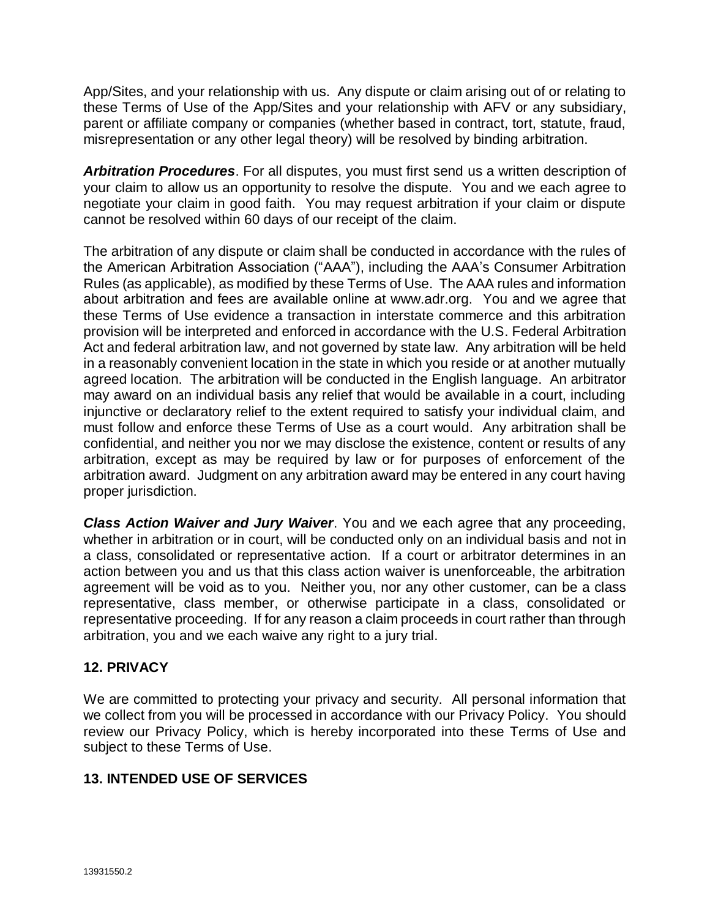App/Sites, and your relationship with us. Any dispute or claim arising out of or relating to these Terms of Use of the App/Sites and your relationship with AFV or any subsidiary, parent or affiliate company or companies (whether based in contract, tort, statute, fraud, misrepresentation or any other legal theory) will be resolved by binding arbitration.

*Arbitration Procedures*. For all disputes, you must first send us a written description of your claim to allow us an opportunity to resolve the dispute. You and we each agree to negotiate your claim in good faith. You may request arbitration if your claim or dispute cannot be resolved within 60 days of our receipt of the claim.

The arbitration of any dispute or claim shall be conducted in accordance with the rules of the American Arbitration Association ("AAA"), including the AAA's Consumer Arbitration Rules (as applicable), as modified by these Terms of Use. The AAA rules and information about arbitration and fees are available online at www.adr.org. You and we agree that these Terms of Use evidence a transaction in interstate commerce and this arbitration provision will be interpreted and enforced in accordance with the U.S. Federal Arbitration Act and federal arbitration law, and not governed by state law. Any arbitration will be held in a reasonably convenient location in the state in which you reside or at another mutually agreed location. The arbitration will be conducted in the English language. An arbitrator may award on an individual basis any relief that would be available in a court, including injunctive or declaratory relief to the extent required to satisfy your individual claim, and must follow and enforce these Terms of Use as a court would. Any arbitration shall be confidential, and neither you nor we may disclose the existence, content or results of any arbitration, except as may be required by law or for purposes of enforcement of the arbitration award. Judgment on any arbitration award may be entered in any court having proper jurisdiction.

*Class Action Waiver and Jury Waiver*. You and we each agree that any proceeding, whether in arbitration or in court, will be conducted only on an individual basis and not in a class, consolidated or representative action. If a court or arbitrator determines in an action between you and us that this class action waiver is unenforceable, the arbitration agreement will be void as to you. Neither you, nor any other customer, can be a class representative, class member, or otherwise participate in a class, consolidated or representative proceeding. If for any reason a claim proceeds in court rather than through arbitration, you and we each waive any right to a jury trial.

### **12. PRIVACY**

We are committed to protecting your privacy and security. All personal information that we collect from you will be processed in accordance with our Privacy Policy. You should review our Privacy Policy, which is hereby incorporated into these Terms of Use and subject to these Terms of Use.

# **13. INTENDED USE OF SERVICES**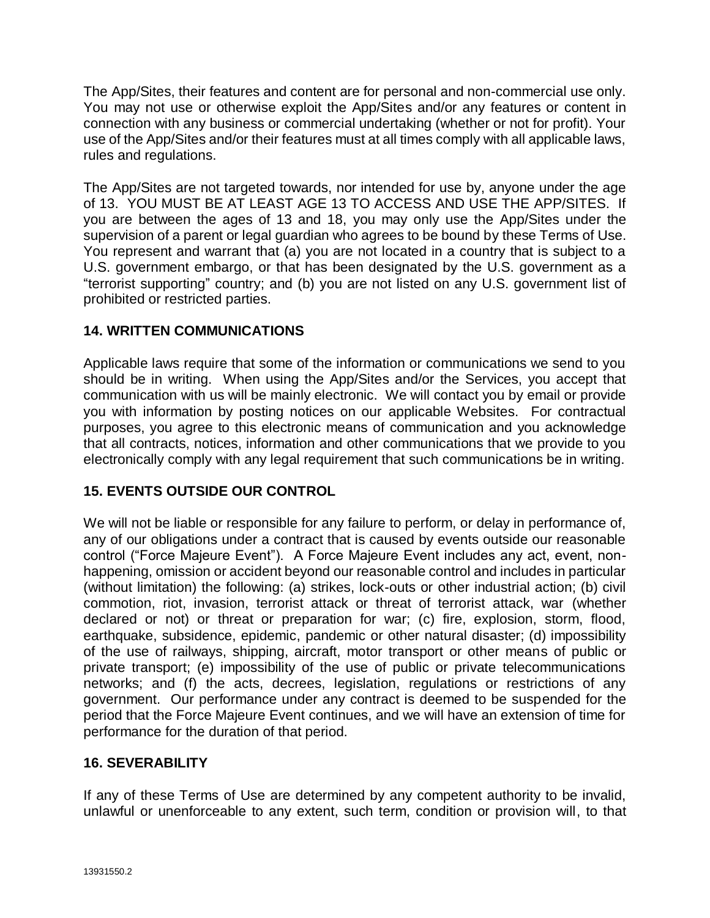The App/Sites, their features and content are for personal and non-commercial use only. You may not use or otherwise exploit the App/Sites and/or any features or content in connection with any business or commercial undertaking (whether or not for profit). Your use of the App/Sites and/or their features must at all times comply with all applicable laws, rules and regulations.

The App/Sites are not targeted towards, nor intended for use by, anyone under the age of 13. YOU MUST BE AT LEAST AGE 13 TO ACCESS AND USE THE APP/SITES. If you are between the ages of 13 and 18, you may only use the App/Sites under the supervision of a parent or legal guardian who agrees to be bound by these Terms of Use. You represent and warrant that (a) you are not located in a country that is subject to a U.S. government embargo, or that has been designated by the U.S. government as a "terrorist supporting" country; and (b) you are not listed on any U.S. government list of prohibited or restricted parties.

# **14. WRITTEN COMMUNICATIONS**

Applicable laws require that some of the information or communications we send to you should be in writing. When using the App/Sites and/or the Services, you accept that communication with us will be mainly electronic. We will contact you by email or provide you with information by posting notices on our applicable Websites. For contractual purposes, you agree to this electronic means of communication and you acknowledge that all contracts, notices, information and other communications that we provide to you electronically comply with any legal requirement that such communications be in writing.

# **15. EVENTS OUTSIDE OUR CONTROL**

We will not be liable or responsible for any failure to perform, or delay in performance of, any of our obligations under a contract that is caused by events outside our reasonable control ("Force Majeure Event"). A Force Majeure Event includes any act, event, nonhappening, omission or accident beyond our reasonable control and includes in particular (without limitation) the following: (a) strikes, lock-outs or other industrial action; (b) civil commotion, riot, invasion, terrorist attack or threat of terrorist attack, war (whether declared or not) or threat or preparation for war; (c) fire, explosion, storm, flood, earthquake, subsidence, epidemic, pandemic or other natural disaster; (d) impossibility of the use of railways, shipping, aircraft, motor transport or other means of public or private transport; (e) impossibility of the use of public or private telecommunications networks; and (f) the acts, decrees, legislation, regulations or restrictions of any government. Our performance under any contract is deemed to be suspended for the period that the Force Majeure Event continues, and we will have an extension of time for performance for the duration of that period.

### **16. SEVERABILITY**

If any of these Terms of Use are determined by any competent authority to be invalid, unlawful or unenforceable to any extent, such term, condition or provision will, to that